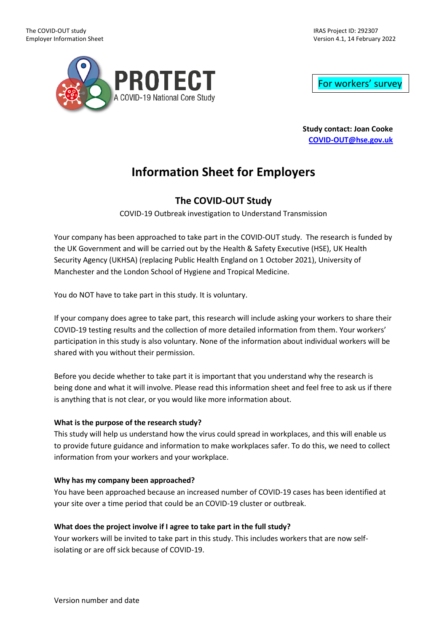IRAS Project ID: 292307 Version 4.1, 14 February 2022



For workers' survey

**Study contact: Joan Cooke [COVID-OUT@hse.gov.uk](mailto:COVID-OUT@hse.gov.uk)**

# **Information Sheet for Employers**

## **The COVID-OUT Study**

COVID-19 Outbreak investigation to Understand Transmission

Your company has been approached to take part in the COVID-OUT study. The research is funded by the UK Government and will be carried out by the Health & Safety Executive (HSE), UK Health Security Agency (UKHSA) (replacing Public Health England on 1 October 2021), University of Manchester and the London School of Hygiene and Tropical Medicine.

You do NOT have to take part in this study. It is voluntary.

If your company does agree to take part, this research will include asking your workers to share their COVID-19 testing results and the collection of more detailed information from them. Your workers' participation in this study is also voluntary. None of the information about individual workers will be shared with you without their permission.

Before you decide whether to take part it is important that you understand why the research is being done and what it will involve. Please read this information sheet and feel free to ask us if there is anything that is not clear, or you would like more information about.

## **What is the purpose of the research study?**

This study will help us understand how the virus could spread in workplaces, and this will enable us to provide future guidance and information to make workplaces safer. To do this, we need to collect information from your workers and your workplace.

## **Why has my company been approached?**

You have been approached because an increased number of COVID-19 cases has been identified at your site over a time period that could be an COVID-19 cluster or outbreak.

## **What does the project involve if I agree to take part in the full study?**

Your workers will be invited to take part in this study. This includes workers that are now selfisolating or are off sick because of COVID-19.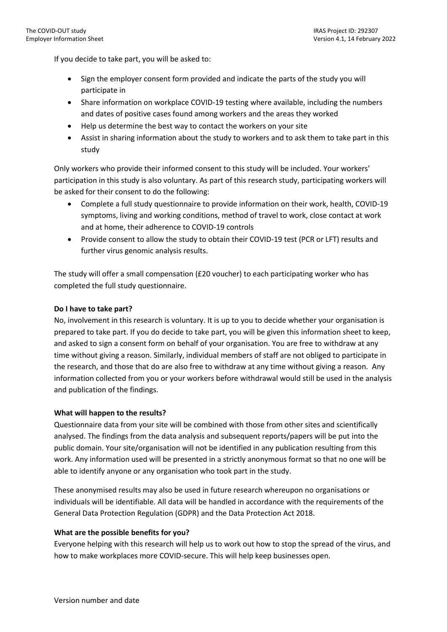If you decide to take part, you will be asked to:

- Sign the employer consent form provided and indicate the parts of the study you will participate in
- Share information on workplace COVID-19 testing where available, including the numbers and dates of positive cases found among workers and the areas they worked
- Help us determine the best way to contact the workers on your site
- Assist in sharing information about the study to workers and to ask them to take part in this study

Only workers who provide their informed consent to this study will be included. Your workers' participation in this study is also voluntary. As part of this research study, participating workers will be asked for their consent to do the following:

- Complete a full study questionnaire to provide information on their work, health, COVID-19 symptoms, living and working conditions, method of travel to work, close contact at work and at home, their adherence to COVID-19 controls
- Provide consent to allow the study to obtain their COVID-19 test (PCR or LFT) results and further virus genomic analysis results.

The study will offer a small compensation (£20 voucher) to each participating worker who has completed the full study questionnaire.

### **Do I have to take part?**

No, involvement in this research is voluntary. It is up to you to decide whether your organisation is prepared to take part. If you do decide to take part, you will be given this information sheet to keep, and asked to sign a consent form on behalf of your organisation. You are free to withdraw at any time without giving a reason. Similarly, individual members of staff are not obliged to participate in the research, and those that do are also free to withdraw at any time without giving a reason. Any information collected from you or your workers before withdrawal would still be used in the analysis and publication of the findings.

#### **What will happen to the results?**

Questionnaire data from your site will be combined with those from other sites and scientifically analysed. The findings from the data analysis and subsequent reports/papers will be put into the public domain. Your site/organisation will not be identified in any publication resulting from this work. Any information used will be presented in a strictly anonymous format so that no one will be able to identify anyone or any organisation who took part in the study.

These anonymised results may also be used in future research whereupon no organisations or individuals will be identifiable. All data will be handled in accordance with the requirements of the General Data Protection Regulation (GDPR) and the Data Protection Act 2018.

#### **What are the possible benefits for you?**

Everyone helping with this research will help us to work out how to stop the spread of the virus, and how to make workplaces more COVID-secure. This will help keep businesses open.